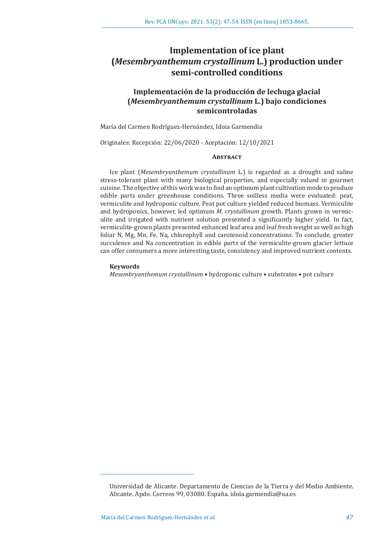# **Implementation of ice plant (***Mesembryanthemum crystallinum* **L.) production under semi-controlled conditions**

# **Implementación de la producción de lechuga glacial (***Mesembryanthemum crystallinum* **L.) bajo condiciones semicontroladas**

María del Carmen Rodríguez-Hernández, Idoia Garmendia

Originales: Recepción: 22/06/2020 - Aceptación: 12/10/2021

# **Abstract**

Ice plant (*Mesembryanthemum crystallinum* L.) is regarded as a drought and saline stress-tolerant plant with many biological properties, and especially valued in gourmet cuisine. The objective of this work was to find an optimum plant cultivation mode to produce edible parts under greenhouse conditions. Three soilless media were evaluated: peat, vermiculite and hydroponic culture. Peat pot culture yielded reduced biomass. Vermiculite and hydroponics, however, led optimum *M. crystallinum* growth. Plants grown in vermiculite and irrigated with nutrient solution presented a significantly higher yield. In fact, vermiculite-grown plants presented enhanced leaf area and leaf fresh weight as well as high foliar N, Mg, Mn, Fe, Na, chlorophyll and carotenoid concentrations. To conclude, greater succulence and Na concentration in edible parts of the vermiculite-grown glacier lettuce can offer consumers a more interesting taste, consistency and improved nutrient contents.

#### **Keywords**

*Mesembryanthemum crystallinum* • hydroponic culture • substrates • pot culture

Universidad de Alicante. Departamento de Ciencias de la Tierra y del Medio Ambiente. Alicante. Apdo. Correos 99, 03080. España. idoia.garmendia@ua.es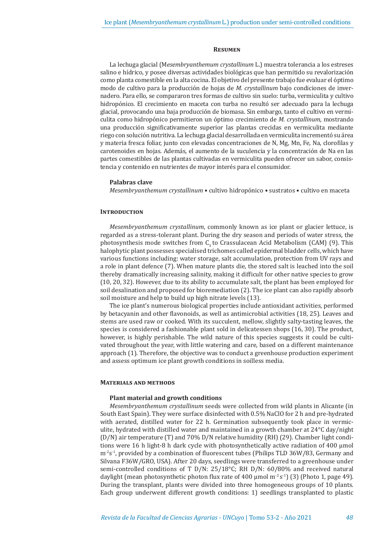#### **Resumen**

La lechuga glacial (M*esembryanthemum crystallinum* L.) muestra tolerancia a los estreses salino e hídrico, y posee diversas actividades biológicas que han permitido su revalorización como planta comestible en la alta cocina. El objetivo del presente trabajo fue evaluar el óptimo modo de cultivo para la producción de hojas de *M. crystallinum* bajo condiciones de invernadero*.* Para ello, se compararon tres formas de cultivo sin suelo: turba, vermiculita y cultivo hidropónico. El crecimiento en maceta con turba no resultó ser adecuado para la lechuga glacial, provocando una baja producción de biomasa. Sin embargo, tanto el cultivo en vermiculita como hidropónico permitieron un óptimo crecimiento de *M. crystallinum,* mostrando una producción significativamente superior las plantas crecidas en vermiculita mediante riego con solución nutritiva. La lechuga glacial desarrollada en vermiculita incrementó su área y materia fresca foliar, junto con elevadas concentraciones de N, Mg, Mn, Fe, Na, clorofilas y carotenoides en hojas. Además, el aumento de la suculencia y la concentración de Na en las partes comestibles de las plantas cultivadas en vermiculita pueden ofrecer un sabor, consistencia y contenido en nutrientes de mayor interés para el consumidor.

# **Palabras clave**

*Mesembryanthemum crystallinum* • cultivo hidropónico • sustratos • cultivo en maceta

# **INTRODUCTION**

*Mesembryanthemum crystallinum*, commonly known as ice plant or glacier lettuce, is regarded as a stress-tolerant plant. During the dry season and periods of water stress, the photosynthesis mode switches from  $C_3$  to Crassulacean Acid Metabolism (CAM) (9). This halophytic plant possesses specialised trichomes called epidermal bladder cells, which have various functions including: water storage, salt accumulation, protection from UV rays and a role in plant defence (7). When mature plants die, the stored salt is leached into the soil thereby dramatically increasing salinity, making it difficult for other native species to grow (10, 20, 32). However, due to its ability to accumulate salt, the plant has been employed for soil desalination and proposed for bioremediation (2). The ice plant can also rapidly absorb soil moisture and help to build up high nitrate levels (13).

The ice plant's numerous biological properties include antioxidant activities, performed by betacyanin and other flavonoids, as well as antimicrobial activities (18, 25). Leaves and stems are used raw or cooked. With its succulent, mellow, slightly salty-tasting leaves, the species is considered a fashionable plant sold in delicatessen shops (16, 30). The product, however, is highly perishable. The wild nature of this species suggests it could be cultivated throughout the year, with little watering and care, based on a different maintenance approach (1). Therefore, the objective was to conduct a greenhouse production experiment and assess optimum ice plant growth conditions in soilless media.

## **Materials and methods**

#### **Plant material and growth conditions**

*Mesembryanthemum crystallinum* seeds were collected from wild plants in Alicante (in South East Spain). They were surface disinfected with 0.5% NaClO for 2 h and pre-hydrated with aerated, distilled water for 22 h. Germination subsequently took place in vermiculite, hydrated with distilled water and maintained in a growth chamber at 24°C day/night (D/N) air temperature (T) and 70% D/N relative humidity (RH) (29). Chamber light conditions were 16 h light-8 h dark cycle with photosynthetically active radiation of 400 µmol  $m^2s^1$ , provided by a combination of fluorescent tubes (Philips TLD 36W/83, Germany and Silvana F36W/GRO, USA). After 20 days, seedlings were transferred to a greenhouse under semi-controlled conditions of T D/N: 25/18°C; RH D/N: 60/80% and received natural daylight (mean photosynthetic photon flux rate of 400 µmol m<sup>-2</sup> s<sup>-1</sup>) (3) (Photo 1, page 49). During the transplant, plants were divided into three homogeneous groups of 10 plants. Each group underwent different growth conditions: 1) seedlings transplanted to plastic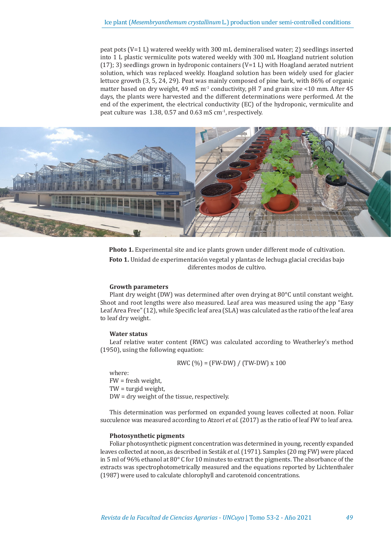peat pots (V=1 L) watered weekly with 300 mL demineralised water; 2) seedlings inserted into 1 L plastic vermiculite pots watered weekly with 300 mL Hoagland nutrient solution  $(17)$ ; 3) seedlings grown in hydroponic containers  $(V=1 L)$  with Hoagland aerated nutrient solution, which was replaced weekly. Hoagland solution has been widely used for glacier lettuce growth (3, 5, 24, 29). Peat was mainly composed of pine bark, with 86% of organic matter based on dry weight, 49 mS  $m<sup>-1</sup>$  conductivity, pH 7 and grain size <10 mm. After 45 days, the plants were harvested and the different determinations were performed. At the end of the experiment, the electrical conductivity (EC) of the hydroponic, vermiculite and peat culture was 1.38, 0.57 and 0.63 mS cm-1, respectively.



**Photo 1.** Experimental site and ice plants grown under different mode of cultivation. **Foto 1.** Unidad de experimentación vegetal y plantas de lechuga glacial crecidas bajo diferentes modos de cultivo.

#### **Growth parameters**

Plant dry weight (DW) was determined after oven drying at 80°C until constant weight. Shoot and root lengths were also measured. Leaf area was measured using the app "Easy Leaf Area Free" (12), while Specific leaf area (SLA) was calculated as the ratio of the leaf area to leaf dry weight.

# **Water status**

Leaf relative water content (RWC) was calculated according to Weatherley's method (1950), using the following equation:

$$
RWC \left(\% \right) = \left( FW\text{-DW} \right) / \left( TW\text{-DW} \right) \times 100
$$

where: FW = fresh weight, TW = turgid weight, DW = dry weight of the tissue, respectively.

This determination was performed on expanded young leaves collected at noon. Foliar succulence was measured according to Atzori *et al.* (2017) as the ratio of leaf FW to leaf area.

# **Photosynthetic pigments**

Foliar photosynthetic pigment concentration was determined in young, recently expanded leaves collected at noon, as described in Sesták *et al.* (1971). Samples (20 mg FW) were placed in 5 ml of 96% ethanol at 80 $^{\circ}$  C for 10 minutes to extract the pigments. The absorbance of the extracts was spectrophotometrically measured and the equations reported by Lichtenthaler (1987) were used to calculate chlorophyll and carotenoid concentrations.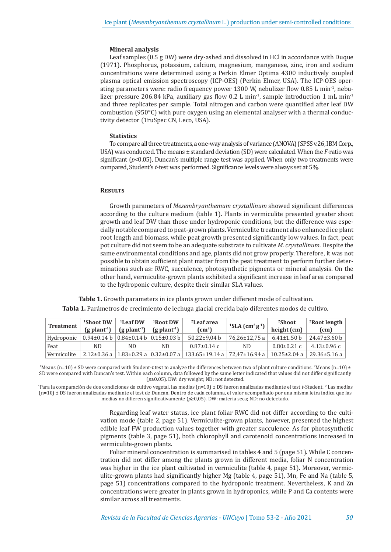## **Mineral analysis**

Leaf samples (0.5 g DW) were dry-ashed and dissolved in HCl in accordance with Duque (1971). Phosphorus, potassium, calcium, magnesium, manganese, zinc, iron and sodium concentrations were determined using a Perkin Elmer Optima 4300 inductively coupled plasma optical emission spectroscopy (ICP-OES) (Perkin Elmer, USA). The ICP-OES operating parameters were: radio frequency power 1300 W, nebulizer flow 0.85 L min<sup>-1</sup>, nebulizer pressure 206.84 kPa, auxiliary gas flow 0.2 L min<sup>-1</sup>, sample introduction 1 mL min<sup>-1</sup> and three replicates per sample. Total nitrogen and carbon were quantified after leaf DW combustion (950°C) with pure oxygen using an elemental analyser with a thermal conductivity detector (TruSpec CN, Leco, USA).

# **Statistics**

To compare all three treatments, a one-way analysis of variance (ANOVA) (SPSS v.26, IBM Corp., USA) was conducted. The means ± standard deviation (SD) were calculated. When the *F*-ratio was significant (*p*<0.05), Duncan's multiple range test was applied. When only two treatments were compared, Student's *t*-test was performed. Significance levels were always set at 5%.

## **Results**

Growth parameters of *Mesembryanthemum crystallinum* showed significant differences according to the culture medium (table 1). Plants in vermiculite presented greater shoot growth and leaf DW than those under hydroponic conditions, but the difference was especially notable compared to peat-grown plants. Vermiculite treatment also enhanced ice plant root length and biomass, while peat growth presented significantly low values. In fact, peat pot culture did not seem to be an adequate substrate to cultivate *M. crystallinum.* Despite the same environmental conditions and age, plants did not grow properly. Therefore, it was not possible to obtain sufficient plant matter from the peat treatment to perform further determinations such as: RWC, succulence, photosynthetic pigments or mineral analysis. On the other hand, vermiculite-grown plants exhibited a significant increase in leaf area compared to the hydroponic culture, despite their similar SLA values.

**Table 1.** Growth parameters in ice plants grown under different mode of cultivation. **Tabla 1.** Parámetros de crecimiento de lechuga glacial crecida bajo diferentes modos de cultivo.

| <b>Treatment</b> | <sup>1</sup> Shoot DW<br>$(g$ plant <sup>-1</sup> )         | $1$ Leaf DW<br>$(g$ plant <sup>-1</sup> ) | <sup>1</sup> Root DW<br>$(g$ plant <sup>1</sup> ) | <sup>2</sup> Leaf area<br>$\text{cm}^2$                                                                                                                                            | <sup>1</sup> SLA $(cm2 g-1)$ | <sup>2</sup> Shoot<br>height (cm) | <sup>2</sup> Root length<br>(cm) |
|------------------|-------------------------------------------------------------|-------------------------------------------|---------------------------------------------------|------------------------------------------------------------------------------------------------------------------------------------------------------------------------------------|------------------------------|-----------------------------------|----------------------------------|
| Hydroponic       | $0.94\pm0.14$ b $\vert 0.84\pm0.14$ b $\vert 0.15\pm0.03$ b |                                           |                                                   | $50.22 \pm 9.04$ b                                                                                                                                                                 | 76,26±12,75 a                | $6.41 \pm 1.50$ b                 | $24.47 \pm 3.60$ b               |
| Peat             | ND                                                          | ND.                                       | ND.                                               | $0.87 \pm 0.14$ c                                                                                                                                                                  | ND.                          | $0.80 \pm 0.21$ c                 | $4.13 \pm 0.96$ c                |
| Vermiculite      |                                                             |                                           |                                                   | $2.12\pm0.36$ a $\vert$ 1.83 $\pm$ 0.29 a $\vert$ 0.32 $\pm$ 0.07 a $\vert$ 133.65 $\pm$ 19.14 a $\vert$ 72.47 $\pm$ 16.94 a $\vert$ 10.25 $\pm$ 2.04 a $\vert$ 29.36 $\pm$ 5.16 a |                              |                                   |                                  |

<sup>1</sup>Means (n=10) ± SD were compared with Student-*t* test to analyze the differences between two of plant culture conditions. <sup>2</sup>Means (n=10) ± SD were compared with Duncan's test. Within each column, data followed by the same letter indicated that values did not differ significantly (*p*≥0.05). DW: dry weight; ND: not detected.

1 Para la comparación de dos condiciones de cultivo vegetal, las medias (n=10) ± DS fueron analizadas mediante el test *t*-Student. <sup>2</sup> Las medias (n=10) ± DS fueron analizadas mediante el test de Duncan. Dentro de cada columna, el valor acompañado por una misma letra indica que las medias no difieren significativamente (*p*≥0,05). DW: materia seca; ND: no detectado.

> Regarding leaf water status, ice plant foliar RWC did not differ according to the cultivation mode (table 2, page 51). Vermiculite-grown plants, however, presented the highest edible leaf FW production values together with greater succulence. As for photosynthetic pigments (table 3, page 51), both chlorophyll and carotenoid concentrations increased in vermiculite-grown plants.

> Foliar mineral concentration is summarised in tables 4 and 5 (page 51). While C concentration did not differ among the plants grown in different media, foliar N concentration was higher in the ice plant cultivated in vermiculite (table 4, page 51). Moreover, vermiculite-grown plants had significantly higher Mg (table 4, page 51), Mn, Fe and Na (table 5, page 51) concentrations compared to the hydroponic treatment. Nevertheless, K and Zn concentrations were greater in plants grown in hydroponics, while P and Ca contents were similar across all treatments.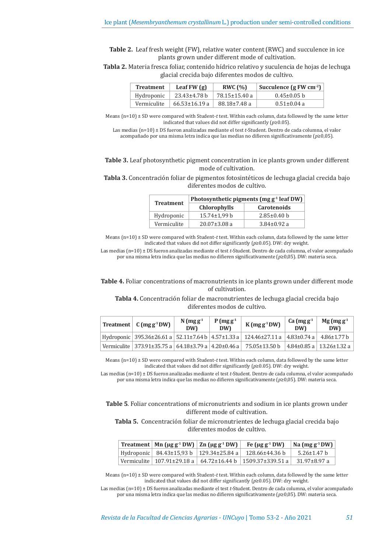**Table 2.** Leaf fresh weight (FW), relative water content (RWC) and succulence in ice plants grown under different mode of cultivation.

**Tabla 2.** Materia fresca foliar, contenido hídrico relativo y suculencia de hojas de lechuga glacial crecida bajo diferentes modos de cultivo.

| <b>Treatment</b> | Leaf $FW(g)$        | RWC $(%)$     | Succulence $(g F W cm^{-2})$ |  |  |
|------------------|---------------------|---------------|------------------------------|--|--|
| Hydroponic       | 23.43±4.78 b        | 78.15±15.40 a | $0.45 \pm 0.05$ b            |  |  |
| Vermiculite      | $66.53 \pm 16.19$ a | 88.18±7.48 a  | $0.51 \pm 0.04$ a            |  |  |

Means (n=10) ± SD were compared with Student-*t* test. Within each column, data followed by the same letter indicated that values did not differ significantly (*p*≥0.05).

Las medias (n=10) ± DS fueron analizadas mediante el test *t*-Student. Dentro de cada columna, el valor acompañado por una misma letra indica que las medias no difieren significativamente (*p*≥0,05).

**Table 3.** Leaf photosynthetic pigment concentration in ice plants grown under different mode of cultivation.

**Tabla 3.** Concentración foliar de pigmentos fotosintéticos de lechuga glacial crecida bajo diferentes modos de cultivo.

| <b>Treatment</b> | Photosynthetic pigments (mg $g-1$ leaf DW) |                    |  |  |  |
|------------------|--------------------------------------------|--------------------|--|--|--|
|                  | <b>Chlorophylls</b>                        | <b>Carotenoids</b> |  |  |  |
| Hydroponic       | $15.74 \pm 1.99$ b                         | $2.85 \pm 0.40$ h  |  |  |  |
| Vermiculite      | $20.07 \pm 3.08$ a                         | $3.84 \pm 0.92$ a  |  |  |  |

Means (n=10) ± SD were compared with Student-*t* test. Within each column, data followed by the same letter indicated that values did not differ significantly (*p*≥0.05). DW: dry weight.

Las medias (n=10) ± DS fueron analizadas mediante el test *t*-Student. Dentro de cada columna, el valor acompañado por una misma letra indica que las medias no difieren significativamente (*p*≥0,05). DW: materia seca.

**Table 4.** Foliar concentrations of macronutrients in ice plants grown under different mode of cultivation.

**Tabla 4.** Concentración foliar de macronutrientes de lechuga glacial crecida bajo diferentes modos de cultivo.

|  | Treatment $\int C \, (mg g^1 D W)$                                | $N$ (mg g <sup>-1</sup><br><b>DW</b> | $P(mgg-1)$<br><b>DW)</b> | $K(mg g-1 DW)$                                                                                                                    | Ca $(mgg-1)$<br><b>DW</b> | $Mg (mgg-1)$<br><b>DW)</b> |
|--|-------------------------------------------------------------------|--------------------------------------|--------------------------|-----------------------------------------------------------------------------------------------------------------------------------|---------------------------|----------------------------|
|  |                                                                   |                                      |                          | Hydroponic 395.36±26.61 a $\vert$ 52.11±7.64 b $\vert$ 4.57±1.33 a $\vert$ 124.46±27.11 a $\vert$ 4.83±0.74 a $\vert$ 4.86±1.77 b |                           |                            |
|  | Vermiculite 373.91±35.75 a 64.18±3.79 a 4.20±0.46 a 75.05±13.50 b |                                      |                          |                                                                                                                                   |                           | 4.84±0.85 a   13.26±1.32 a |

Means (n=10) ± SD were compared with Student-*t* test. Within each column, data followed by the same letter indicated that values did not differ significantly (*p*≥0.05). DW: dry weight.

Las medias (n=10) ± DS fueron analizadas mediante el test *t*-Student. Dentro de cada columna, el valor acompañado por una misma letra indica que las medias no difieren significativamente (*p*≥0,05). DW: materia seca.

**Table 5***.* Foliar concentrations of micronutrients and sodium in ice plants grown under different mode of cultivation.

**Tabla 5.** Concentración foliar de micronutrientes de lechuga glacial crecida bajo diferentes modos de cultivo.

|  | Treatment   Mn (µg g $^1$ DW)   Zn (µg g $^1$ DW)   $\;$ Fe (µg g $^1$ DW) $\;$ | $\vert$ Na (mg g <sup>-1</sup> DW) $\vert$ |
|--|---------------------------------------------------------------------------------|--------------------------------------------|
|  | Hydroponic   84.43±15,93 b   129.34±25.84 a   128.66±44.36 b                    | 5.26±1.47 b                                |
|  | Vermiculite   107.91±29.18 a   64.72±16.44 b   1509.37±339.51 a                 | ∣ 31.97±8.97 a                             |

Means (n=10) ± SD were compared with Student-*t* test. Within each column, data followed by the same letter indicated that values did not differ significantly (*p*≥0.05). DW: dry weight.

Las medias (n=10) ± DS fueron analizadas mediante el test *t*-Student. Dentro de cada columna, el valor acompañado por una misma letra indica que las medias no difieren significativamente (*p*≥0,05). DW: materia seca.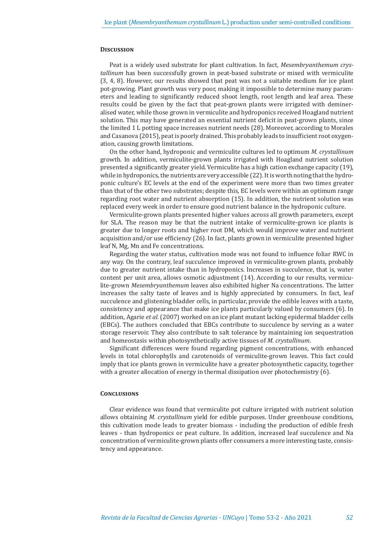# **Discussion**

Peat is a widely used substrate for plant cultivation. In fact, *Mesembryanthemum crystallinum* has been successfully grown in peat-based substrate or mixed with vermiculite (3, 4, 8). However, our results showed that peat was not a suitable medium for ice plant pot-growing. Plant growth was very poor, making it impossible to determine many parameters and leading to significantly reduced shoot length, root length and leaf area. These results could be given by the fact that peat-grown plants were irrigated with demineralised water, while those grown in vermiculite and hydroponics received Hoagland nutrient solution. This may have generated an essential nutrient deficit in peat-grown plants, since the limited 1 L potting space increases nutrient needs (28). Moreover, according to Morales and Casanova (2015), peat is poorly drained. This probably leads to insufficient root oxygenation, causing growth limitations.

On the other hand, hydroponic and vermiculite cultures led to optimum *M. crystallinum*  growth*.* In addition, vermiculite-grown plants irrigated with Hoagland nutrient solution presented a significantly greater yield. Vermiculite has a high cation exchange capacity (19), while in hydroponics, the nutrients are very accessible (22). It is worth noting that the hydroponic culture's EC levels at the end of the experiment were more than two times greater than that of the other two substrates; despite this, EC levels were within an optimum range regarding root water and nutrient absorption (15). In addition, the nutrient solution was replaced every week in order to ensure good nutrient balance in the hydroponic culture.

Vermiculite-grown plants presented higher values across all growth parameters, except for SLA. The reason may be that the nutrient intake of vermiculite-grown ice plants is greater due to longer roots and higher root DM, which would improve water and nutrient acquisition and/or use efficiency (26). In fact, plants grown in vermiculite presented higher leaf N, Mg, Mn and Fe concentrations.

Regarding the water status, cultivation mode was not found to influence foliar RWC in any way. On the contrary, leaf succulence improved in vermiculite-grown plants, probably due to greater nutrient intake than in hydroponics. Increases in succulence, that is, water content per unit area, allows osmotic adjustment (14). According to our results, vermiculite-grown *Mesembryanthemum* leaves also exhibited higher Na concentrations. The latter increases the salty taste of leaves and is highly appreciated by consumers. In fact, leaf succulence and glistening bladder cells, in particular, provide the edible leaves with a taste, consistency and appearance that make ice plants particularly valued by consumers (6). In addition, Agarie *et al.* (2007) worked on an ice plant mutant lacking epidermal bladder cells (EBCs). The authors concluded that EBCs contribute to succulence by serving as a water storage reservoir. They also contribute to salt tolerance by maintaining ion sequestration and homeostasis within photosynthetically active tissues of *M. crystallinum*.

Significant differences were found regarding pigment concentrations, with enhanced levels in total chlorophylls and carotenoids of vermiculite-grown leaves. This fact could imply that ice plants grown in vermiculite have a greater photosynthetic capacity, together with a greater allocation of energy in thermal dissipation over photochemistry (6).

## **Conclusions**

Clear evidence was found that vermiculite pot culture irrigated with nutrient solution allows obtaining *M. crystallinum* yield for edible purposes. Under greenhouse conditions, this cultivation mode leads to greater biomass - including the production of edible fresh leaves - than hydroponics or peat culture. In addition, increased leaf succulence and Na concentration of vermiculite-grown plants offer consumers a more interesting taste, consistency and appearance.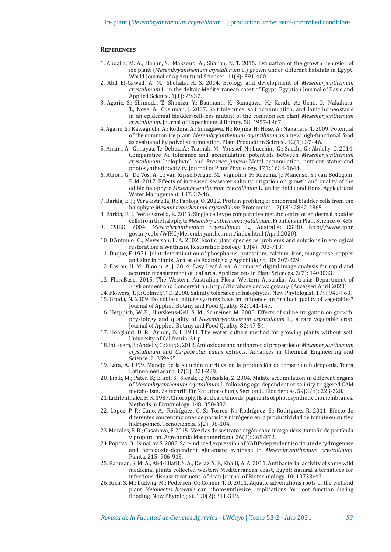# **References**

- 1. Abdalla, M. A.; Hanan, S.; Maksoud, A.; Shanan, N. T. 2015. Evaluation of the growth behavior of ice plant (*Mesembryanthemum crystallinum* L.) grown under different habitats in Egypt. World Journal of Agricultural Sciences. 11(6): 391-400.
- 2. Abd El-Gawad, A. M.; Shehata, H. S. 2014. Ecology and development of *Mesembryanthemum crystallinum* L. in the deltaic Mediterranean coast of Egypt. Egyptian Journal of Basic and Applied Science. 1(1): 29-37.
- 3. Agarie, S.; Shimoda, T.; Shimizu, Y.; Baumann, K.; Sunagawa, H.; Kondo, A.; Ueno, O.; Nakahara, T.; Nose, A.; Cushman, J. 2007. Salt tolerance, salt accumulation, and ionic homeostasis in an epidermal bladder-cell-less mutant of the common ice plant *Mesembryanthemum crystallinum*. Journal of Experimental Botany. 58: 1957-1967.
- 4. Agarie, S.; Kawaguchi, A.; Kodera, A.; Sunagawa, H.; Kojima, H; Nose, A.; Nakahara, T. 2009. Potential of the common ice plant, *Mesembryanthemum crystallinum* as a new high-functional food as evaluated by polyol accumulation. Plant Production Science. 12(1): 37- 46.
- 5. Amari, A.; Ghnayaa, T.; Debez, A.; Taamali, M.; Youssef, N.; Lucchini, G.; Sacchi, G.; Abdelly, C. 2014. Comparative Ni tolerance and accumulation potentials between *Mesembryanthemum crystallinum* (halophyte) and *Brassica juncea*: Metal accumulation, nutrient status and photosynthetic activity. Journal of Plant Physiology. 171: 1634-1644.
- 6. Atzori, G.; De Vos, A. C.; van Rijsselbergue, M.; Vignolini, P.; Rozema, J.; Mancuso, S.; van Bodegom, P. M. 2017. Effects of increased seawater salinity irrigation on growth and quality of the edible halophyte *Mesembryanthemum crystallinum* L. under field conditions. Agricultural Water Management. 187: 37-46.
- 7. Barkla, B. J.; Vera-Estrella, R.; Pantoja, O. 2012. Protein profiling of epidermal bladder cells from the halophyte *Mesembryanthemum crystallinum*. Proteomics. 12(18): 2862-2865.
- 8. Barkla, B. J.; Vera-Estrella, R. 2015. Single cell-type comparative metabolomics of epidermal bladder cells from the halophyte *Mesembryanthemum crystallinum.* Frontiers in Plant Science. 6: 435.
- 9. CSIRO. 2004. *Mesembryanthemum crystallinum* L., Australia: CSIRO. http://www.cpbr. gov.au/cpbr/WfHC/Mesembryanthemum/index.html (April 2020).
- 10. D'Antonio, C.; Meyerson, L. A. 2002. Exotic plant species as problems and solutions in ecological restoration: a synthesis. Restoration Ecology. 10(4): 703-713.
- 11. Duque, F. 1971. Joint determination of phosphorus, potassium, calcium, iron, manganese, copper and zinc in plants*.* Anales de Edafología y Agrobiología. 30: 207-229.
- 12. Easlon, H. M.; Bloom, A. J. 2014. Easy Leaf Area: Automated digital image analysis for rapid and accurate measurement of leaf area. Applications in Plant Sciences. 2(7): 1400033.
- 13. FloraBase. 2015. The Western Australian Flora. Western Australia, Australia: Department of Environment and Conservation. http://florabase.dec.wa.gov.au/ (Accessed April 2020)
- 14. Flowers, T. J.; Colmer, T. D. 2008. Salinity tolerance in halophytes. New Phytologist. 179: 945-963.
- 15. Gruda, N. 2009. Do soilless culture systems have an influence on product quality of vegetables? Journal of Applied Botany and Food Quality. 82: 141-147.
- 16. Herppich, W. B.; Huyskens-Keil, S. M.; Schreiner, M. 2008. Effects of saline irrigation on growth, physiology and quality of *Mesembryanthemum crystallinum* L., a rare vegetable crop. Journal of Applied Botany and Food Quality. 82: 47-54.
- 17. Hoagland, D. R.; Arnon, D. I. 1938. The water culture method for growing plants without soil. University of California. 31 p.
- 18. Ibtissem, B.; Abdelly, C.; Sfar, S. 2012. Antioxidant and antibacterial properties of *Mesembryanthemum crystallinum* and *Carpobrotus edulis* extracts. Advances in Chemical Engineering and Science. 2: 359e65.
- 19. Lara, A. 1999. Manejo de la solución nutritiva en la producción de tomate en hidroponía. Terra Latinoameriacana. 17(3): 221-229.
- 20. Libik, M.; Pater, B.; Elliot, S.; Slesak, I.; Miszalski, Z. 2004. Malate accumulation in different organs of *Mesembryanthemum crystallinum* L. following age-dependent or salinity-triggered CAM metabolism. Zeitschrift für Naturforschung. Section C. Biosciences. 59(3/4): 223-228.
- 21. Lichtenthaler, H. K. 1987. Chlorophylls and carotenoids: pigments of photosynthetic biomembranes*.* Methods in Enzymology. 148: 350-382.
- 22. López, P. P.; Cano, A.; Rodríguez, G. S.; Torres, N.; Rodríguez, S.; Rodríguez, R. 2011. Efecto de diferentes concentraciones de potasio y nitrógeno en la productividad de tomate en cultivo hidropónico. Tecnociencia*.* 5(2): 98-104.
- 23. Morales, E. R.; Casanova, F. 2015. Mezclas de sustratos orgánicos e inorgánicos, tamaño de partícula y proporción. Agronomía Mesoamericana. 26(2): 365-372.
- 24. Popova, O.; Ismailov, S. 2002. Salt-induced expression of NADP-dependent isocitrate dehydrogenase and ferredoxin-dependent glutamate synthase in *Mesembryanthemum crystallinum*. Planta. 215: 906-913.
- 25. Rahman, S. M. A.; Abd-Ellatif, S. A.; Deraz, S. F.; Khalil, A. A. 2011. Antibacterial activity of some wild medicinal plants collected western Mediterranean coast, Egypt: natural alternatives for infectious disease treatment. African Journal of Biotechnology. 10: 10733e43.
- 26. Rich, S. M.; Ludwig, M.; Pedersen, O.; Colmer, T. D. 2011. Aquatic adventitious roots of the wetland plant *Meionectes brownie* can photosynthesize: implications for root function during flooding. New Phytologist*.* 190(2): 311-319.